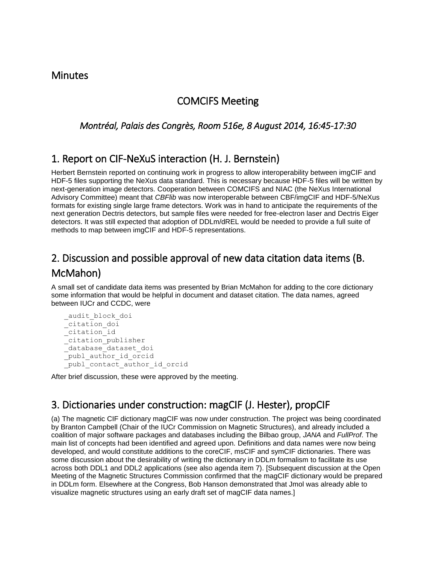#### **Minutes**

#### COMCIFS Meeting

*Montréal, Palais des Congrès, Room 516e, 8 August 2014, 16:45-17:30* 

## 1. Report on CIF-NeXuS interaction (H. J. Bernstein)

Herbert Bernstein reported on continuing work in progress to allow interoperability between imgCIF and HDF-5 files supporting the NeXus data standard. This is necessary because HDF-5 files will be written by next-generation image detectors. Cooperation between COMCIFS and NIAC (the NeXus International Advisory Committee) meant that *CBFlib* was now interoperable between CBF/imgCIF and HDF-5/NeXus formats for existing single large frame detectors. Work was in hand to anticipate the requirements of the next generation Dectris detectors, but sample files were needed for free-electron laser and Dectris Eiger detectors. It was still expected that adoption of DDLm/dREL would be needed to provide a full suite of methods to map between imgCIF and HDF-5 representations.

# 2. Discussion and possible approval of new data citation data items (B. McMahon)

A small set of candidate data items was presented by Brian McMahon for adding to the core dictionary some information that would be helpful in document and dataset citation. The data names, agreed between IUCr and CCDC, were

```
 _audit_block_doi
\overline{\overline{\phantom{a}}}citation doi
 _citation_id
 _citation_publisher
database<sup>d</sup>ataset doi
 _publ_author_id_orcid
publ contact author id orcid
```
After brief discussion, these were approved by the meeting.

## 3. Dictionaries under construction: magCIF (J. Hester), propCIF

(a) The magnetic CIF dictionary magCIF was now under construction. The project was being coordinated by Branton Campbell (Chair of the IUCr Commission on Magnetic Structures), and already included a coalition of major software packages and databases including the Bilbao group, *JANA* and *FullProf*. The main list of concepts had been identified and agreed upon. Definitions and data names were now being developed, and would constitute additions to the coreCIF, msCIF and symCIF dictionaries. There was some discussion about the desirability of writing the dictionary in DDLm formalism to facilitate its use across both DDL1 and DDL2 applications (see also agenda item 7). [Subsequent discussion at the Open Meeting of the Magnetic Structures Commission confirmed that the magCIF dictionary would be prepared in DDLm form. Elsewhere at the Congress, Bob Hanson demonstrated that Jmol was already able to visualize magnetic structures using an early draft set of magCIF data names.]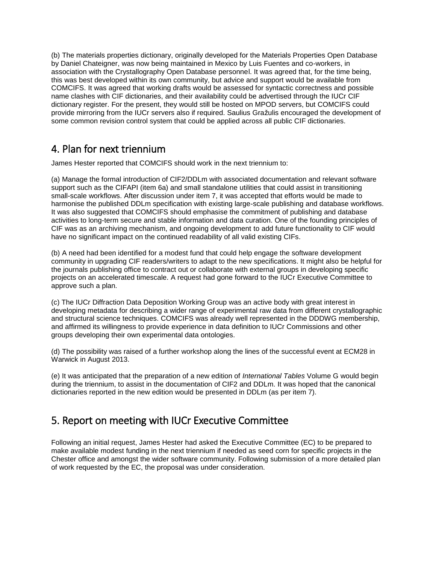(b) The materials properties dictionary, originally developed for the Materials Properties Open Database by Daniel Chateigner, was now being maintained in Mexico by Luis Fuentes and co-workers, in association with the Crystallography Open Database personnel. It was agreed that, for the time being, this was best developed within its own community, but advice and support would be available from COMCIFS. It was agreed that working drafts would be assessed for syntactic correctness and possible name clashes with CIF dictionaries, and their availability could be advertised through the IUCr CIF dictionary register. For the present, they would still be hosted on MPOD servers, but COMCIFS could provide mirroring from the IUCr servers also if required. Saulius Gražulis encouraged the development of some common revision control system that could be applied across all public CIF dictionaries.

## 4. Plan for next triennium

James Hester reported that COMCIFS should work in the next triennium to:

(a) Manage the formal introduction of CIF2/DDLm with associated documentation and relevant software support such as the CIFAPI (item 6a) and small standalone utilities that could assist in transitioning small-scale workflows. After discussion under item 7, it was accepted that efforts would be made to harmonise the published DDLm specification with existing large-scale publishing and database workflows. It was also suggested that COMCIFS should emphasise the commitment of publishing and database activities to long-term secure and stable information and data curation. One of the founding principles of CIF was as an archiving mechanism, and ongoing development to add future functionality to CIF would have no significant impact on the continued readability of all valid existing CIFs.

(b) A need had been identified for a modest fund that could help engage the software development community in upgrading CIF readers/writers to adapt to the new specifications. It might also be helpful for the journals publishing office to contract out or collaborate with external groups in developing specific projects on an accelerated timescale. A request had gone forward to the IUCr Executive Committee to approve such a plan.

(c) The IUCr Diffraction Data Deposition Working Group was an active body with great interest in developing metadata for describing a wider range of experimental raw data from different crystallographic and structural science techniques. COMCIFS was already well represented in the DDDWG membership, and affirmed its willingness to provide experience in data definition to IUCr Commissions and other groups developing their own experimental data ontologies.

(d) The possibility was raised of a further workshop along the lines of the successful event at ECM28 in Warwick in August 2013.

(e) It was anticipated that the preparation of a new edition of *International Tables* Volume G would begin during the triennium, to assist in the documentation of CIF2 and DDLm. It was hoped that the canonical dictionaries reported in the new edition would be presented in DDLm (as per item 7).

## 5. Report on meeting with IUCr Executive Committee

Following an initial request, James Hester had asked the Executive Committee (EC) to be prepared to make available modest funding in the next triennium if needed as seed corn for specific projects in the Chester office and amongst the wider software community. Following submission of a more detailed plan of work requested by the EC, the proposal was under consideration.